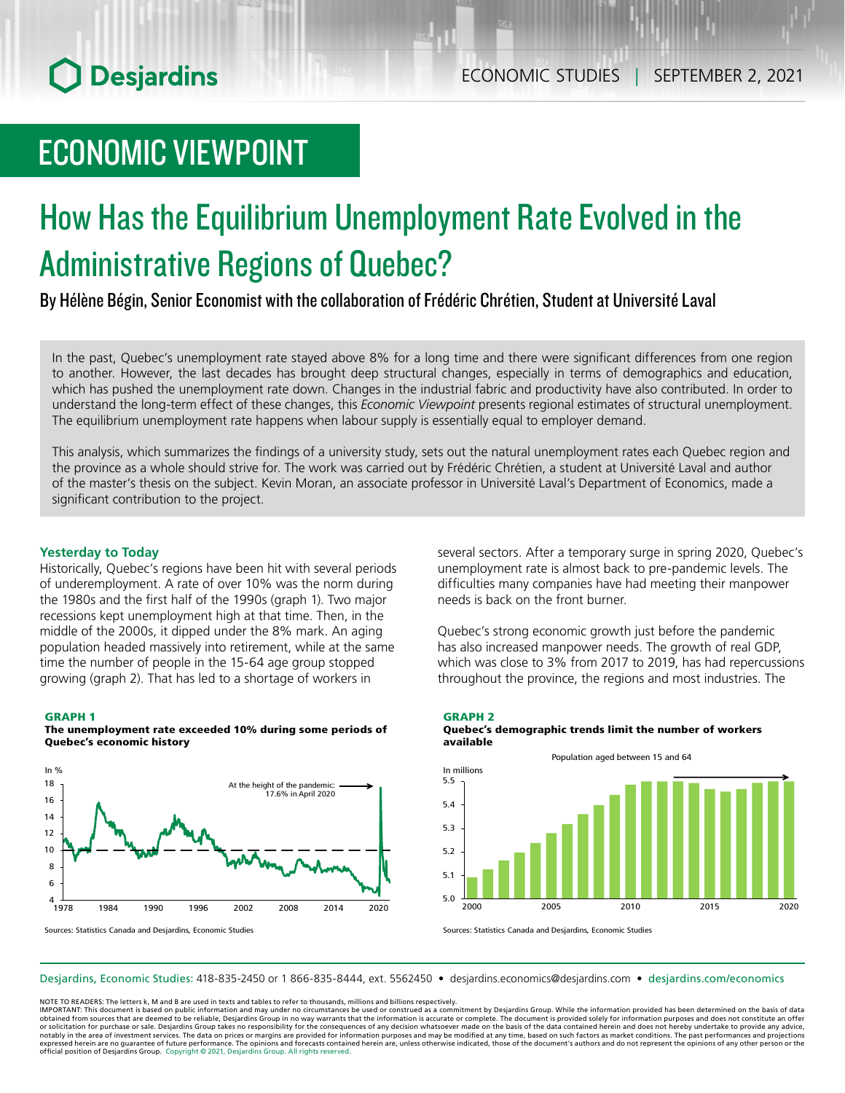## ECONOMIC VIEWPOINT

# How Has the Equilibrium Unemployment Rate Evolved in the Administrative Regions of Quebec?

By Hélène Bégin, Senior Economist with the collaboration of Frédéric Chrétien, Student at Université Laval

In the past, Quebec's unemployment rate stayed above 8% for a long time and there were significant differences from one region to another. However, the last decades has brought deep structural changes, especially in terms of demographics and education, which has pushed the unemployment rate down. Changes in the industrial fabric and productivity have also contributed. In order to understand the long-term effect of these changes, this *Economic Viewpoint* presents regional estimates of structural unemployment. The equilibrium unemployment rate happens when labour supply is essentially equal to employer demand.

This analysis, which summarizes the findings of a university study, sets out the natural unemployment rates each Quebec region and the province as a whole should strive for. The work was carried out by Frédéric Chrétien, a student at Université Laval and author of the master's thesis on the subject. Kevin Moran, an associate professor in Université Laval's Department of Economics, made a significant contribution to the project.

## **Yesterday to Today**

Historically, Quebec's regions have been hit with several periods of underemployment. A rate of over 10% was the norm during the 1980s and the first half of the 1990s (graph 1). Two major recessions kept unemployment high at that time. Then, in the middle of the 2000s, it dipped under the 8% mark. An aging population headed massively into retirement, while at the same time the number of people in the 15-64 age group stopped growing (graph 2). That has led to a shortage of workers in

#### GRAPH 1





several sectors. After a temporary surge in spring 2020, Quebec's unemployment rate is almost back to pre-pandemic levels. The difficulties many companies have had meeting their manpower needs is back on the front burner.

Quebec's strong economic growth just before the pandemic has also increased manpower needs. The growth of real GDP, which was close to 3% from 2017 to 2019, has had repercussions throughout the province, the regions and most industries. The





Sources: Statistics Canada and Desjardins, Economic Studies

Sources: Statistics Canada and Desjardins, Economic Studies

Desjardins, Economic Studies: 418-835-2450 or 1 866-835-8444, ext. 5562450 • desjardins.economics@desjardins.com • [desjardins.com/economics](http://desjardins.com/economics)

NOTE TO READERS: The letters k, M and B are used in texts and tables to refer to thousands, millions and billions respectively.

IMPORTANT: This document is based on public information and may under no circumstances be used or construed as a commitment by Desjardins Group. While the information provided has been determined on the basis of data obtained from sources that are deemed to be reliable, Desjardins Group in no way warrants that the information is accurate or complete. The document is provided solely for information purposes and does not constitute an of notably in the area of investment services. The data on prices or margins are provided for information purposes and may be modified at any time, based on such factors as market conditions. The past performances and project expressed herein are no guarantee of future performance. The opinions and forecasts contained herein are, unless otherwise indicated, those of the document's authors and do not represent the opinions of any other person or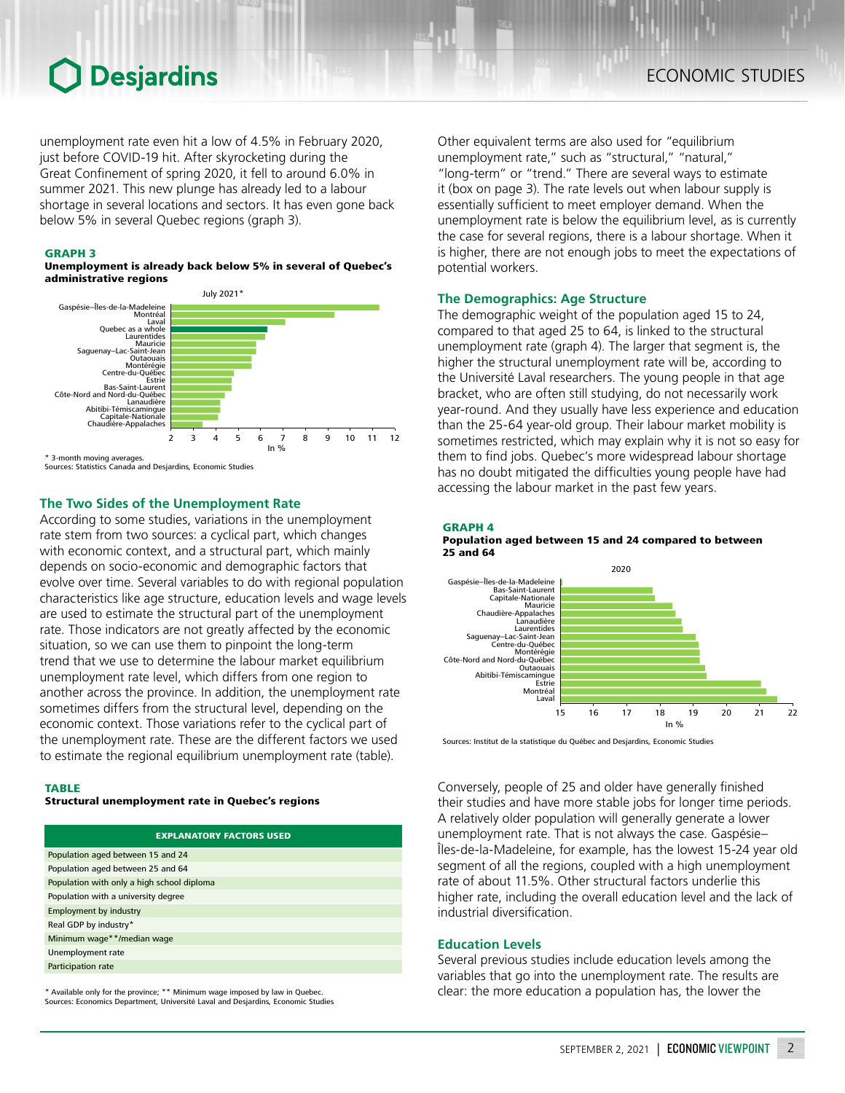unemployment rate even hit a low of 4.5% in February 2020, just before COVID-19 hit. After skyrocketing during the Great Confinement of spring 2020, it fell to around 6.0% in summer 2021. This new plunge has already led to a labour shortage in several locations and sectors. It has even gone back below 5% in several Quebec regions (graph 3).

#### GRAPH 3

#### Unemployment is already back below 5% in several of Quebec's administrative regions



\* 3-month moving averages.

Sources: Statistics Canada and Desjardins, Economic Studies

### **The Two Sides of the Unemployment Rate**

According to some studies, variations in the unemployment rate stem from two sources: a cyclical part, which changes with economic context, and a structural part, which mainly depends on socio-economic and demographic factors that evolve over time. Several variables to do with regional population characteristics like age structure, education levels and wage levels are used to estimate the structural part of the unemployment rate. Those indicators are not greatly affected by the economic situation, so we can use them to pinpoint the long-term trend that we use to determine the labour market equilibrium unemployment rate level, which differs from one region to another across the province. In addition, the unemployment rate sometimes differs from the structural level, depending on the economic context. Those variations refer to the cyclical part of the unemployment rate. These are the different factors we used to estimate the regional equilibrium unemployment rate (table).

#### **TARIF**

Structural unemployment rate in Quebec's regions

| <b>EXPLANATORY FACTORS USED</b>            |
|--------------------------------------------|
| Population aged between 15 and 24          |
| Population aged between 25 and 64          |
| Population with only a high school diploma |
| Population with a university degree        |
| <b>Employment by industry</b>              |
| Real GDP by industry*                      |
| Minimum wage**/median wage                 |
| Unemployment rate                          |
| Participation rate                         |
|                                            |

\* Available only for the province; \*\* Minimum wage imposed by law in Quebec. Sources: Economics Department, Université Laval and Desjardins, Economic Studies

Other equivalent terms are also used for "equilibrium unemployment rate," such as "structural," "natural," "long-term" or "trend." There are several ways to estimate it (box on page 3). The rate levels out when labour supply is essentially sufficient to meet employer demand. When the unemployment rate is below the equilibrium level, as is currently the case for several regions, there is a labour shortage. When it is higher, there are not enough jobs to meet the expectations of potential workers.

### **The Demographics: Age Structure**

The demographic weight of the population aged 15 to 24, compared to that aged 25 to 64, is linked to the structural unemployment rate (graph 4). The larger that segment is, the higher the structural unemployment rate will be, according to the Université Laval researchers. The young people in that age bracket, who are often still studying, do not necessarily work year-round. And they usually have less experience and education than the 25-64 year-old group. Their labour market mobility is sometimes restricted, which may explain why it is not so easy for them to find jobs. Quebec's more widespread labour shortage has no doubt mitigated the difficulties young people have had accessing the labour market in the past few years.

#### GRAPH 4 Population aged between 15 and 24 compared to between 25 and 64



Sources: Institut de la statistique du Québec and Desjardins, Economic Studies

Conversely, people of 25 and older have generally finished their studies and have more stable jobs for longer time periods. A relatively older population will generally generate a lower unemployment rate. That is not always the case. Gaspésie– Îles-de-la-Madeleine, for example, has the lowest 15-24 year old segment of all the regions, coupled with a high unemployment rate of about 11.5%. Other structural factors underlie this higher rate, including the overall education level and the lack of industrial diversification.

### **Education Levels**

Several previous studies include education levels among the variables that go into the unemployment rate. The results are clear: the more education a population has, the lower the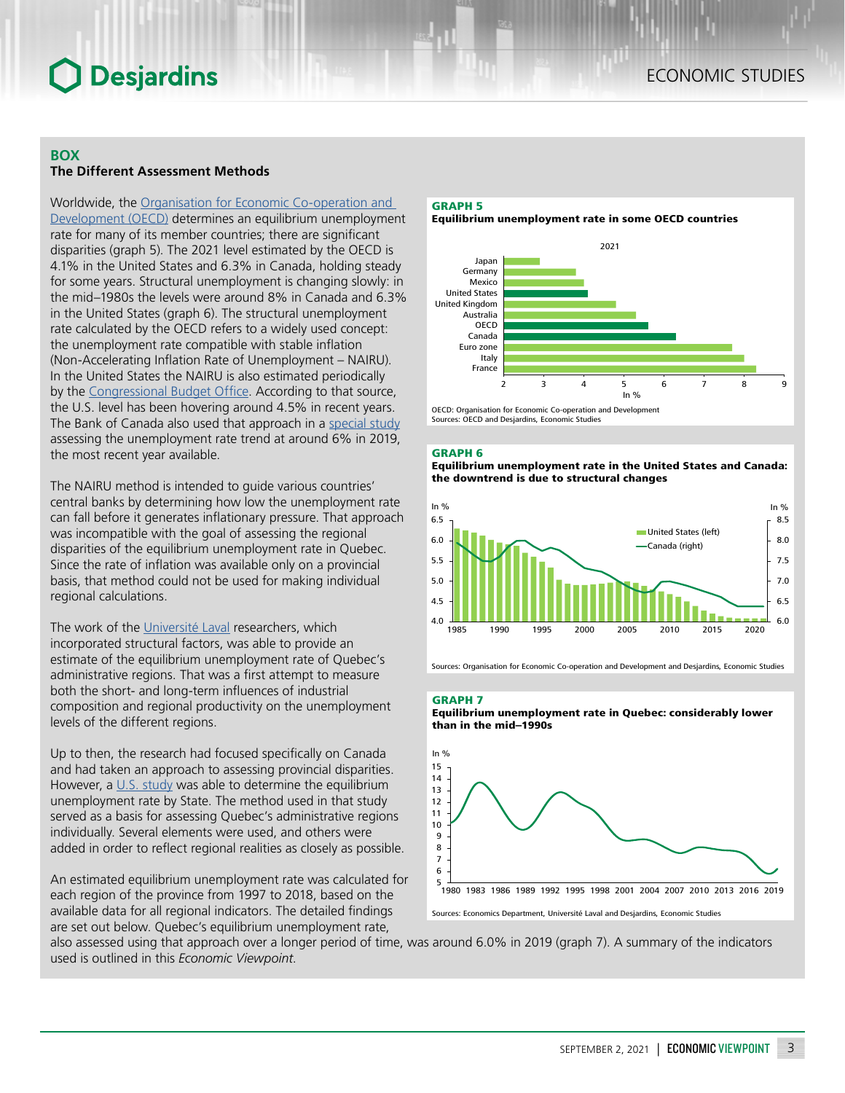## **BOX The Different Assessment Methods**

Worldwide, the [Organisation for Economic Co-operation and](https://www.oecd.org/fr/economie/perspectives/1959078.pdf)  [Development \(OECD\)](https://www.oecd.org/fr/economie/perspectives/1959078.pdf) determines an equilibrium unemployment rate for many of its member countries; there are significant disparities (graph 5). The 2021 level estimated by the OECD is 4.1% in the United States and 6.3% in Canada, holding steady for some years. Structural unemployment is changing slowly: in the mid–1980s the levels were around 8% in Canada and 6.3% in the United States (graph 6). The structural unemployment rate calculated by the OECD refers to a widely used concept: the unemployment rate compatible with stable inflation (Non‑Accelerating Inflation Rate of Unemployment – NAIRU). In the United States the NAIRU is also estimated periodically by the [Congressional Budget Office](https://www.cbo.gov/system/files/115th-congress-2017-2018/workingpaper/53558-cbosforecastinggrowthmodel-workingpaper.pdf). According to that source, the U.S. level has been hovering around 4.5% in recent years. The Bank of Canada also used that approach in a [special study](https://www.bankofcanada.ca/wp-content/uploads/2019/03/swp2019-13.pdf) assessing the unemployment rate trend at around 6% in 2019, the most recent year available.

The NAIRU method is intended to guide various countries' central banks by determining how low the unemployment rate can fall before it generates inflationary pressure. That approach was incompatible with the goal of assessing the regional disparities of the equilibrium unemployment rate in Quebec. Since the rate of inflation was available only on a provincial basis, that method could not be used for making individual regional calculations.

The work of the [Université Laval](https://corpus.ulaval.ca/jspui/handle/20.500.11794/69819?locale=en) researchers, which incorporated structural factors, was able to provide an estimate of the equilibrium unemployment rate of Quebec's administrative regions. That was a first attempt to measure both the short- and long-term influences of industrial composition and regional productivity on the unemployment levels of the different regions.

Up to then, the research had focused specifically on Canada and had taken an approach to assessing provincial disparities. However, a [U.S. study](https://www.reed.edu/economics/parker/State_Unemployment_12-2015.pdf) was able to determine the equilibrium unemployment rate by State. The method used in that study served as a basis for assessing Quebec's administrative regions individually. Several elements were used, and others were added in order to reflect regional realities as closely as possible.

An estimated equilibrium unemployment rate was calculated for each region of the province from 1997 to 2018, based on the available data for all regional indicators. The detailed findings are set out below. Quebec's equilibrium unemployment rate,

## GRAPH 5

Equilibrium unemployment rate in some OECD countries



Sources: OECD and Desjardins, Economic Studies

#### GRAPH 6

Equilibrium unemployment rate in the United States and Canada: the downtrend is due to structural changes



Sources: Organisation for Economic Co-operation and Development and Desjardins, Economic Studies

GRAPH 7

Equilibrium unemployment rate in Quebec: considerably lower than in the mid–1990s



also assessed using that approach over a longer period of time, was around 6.0% in 2019 (graph 7). A summary of the indicators used is outlined in this *Economic Viewpoint*.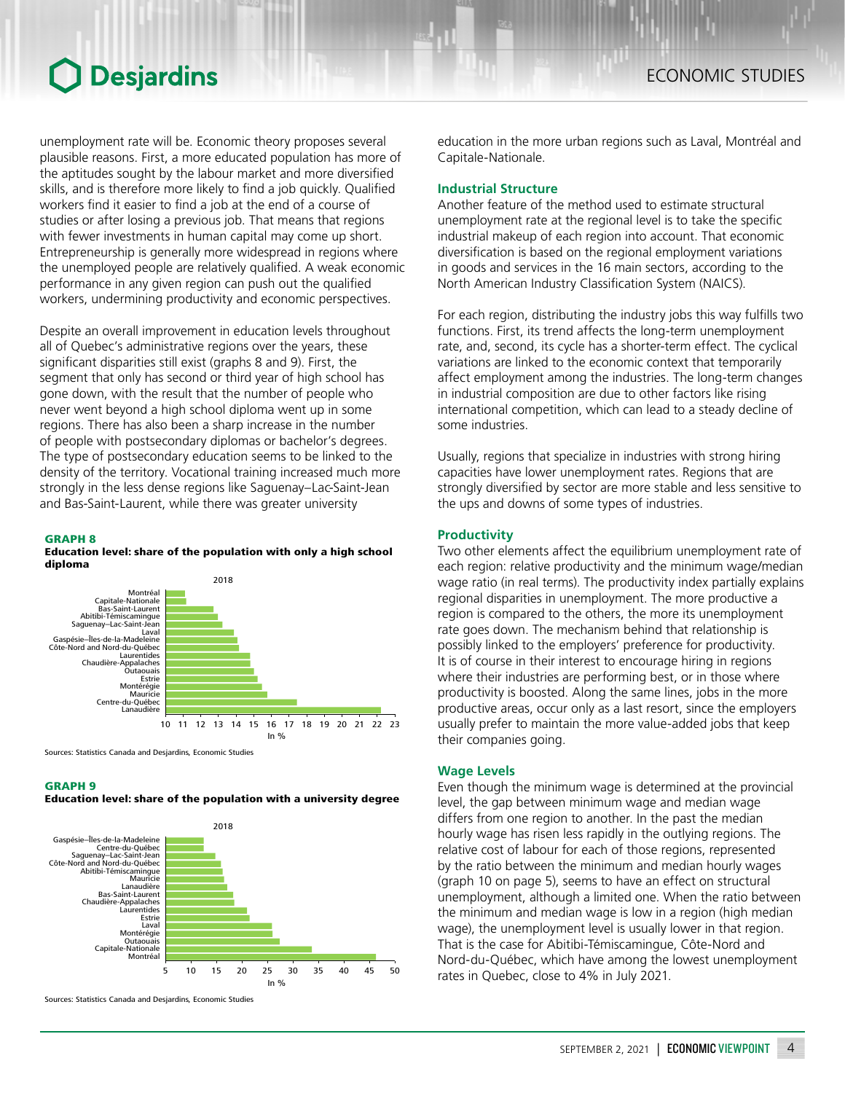unemployment rate will be. Economic theory proposes several plausible reasons. First, a more educated population has more of the aptitudes sought by the labour market and more diversified skills, and is therefore more likely to find a job quickly. Qualified workers find it easier to find a job at the end of a course of studies or after losing a previous job. That means that regions with fewer investments in human capital may come up short. Entrepreneurship is generally more widespread in regions where the unemployed people are relatively qualified. A weak economic performance in any given region can push out the qualified workers, undermining productivity and economic perspectives.

Despite an overall improvement in education levels throughout all of Quebec's administrative regions over the years, these significant disparities still exist (graphs 8 and 9). First, the segment that only has second or third year of high school has gone down, with the result that the number of people who never went beyond a high school diploma went up in some regions. There has also been a sharp increase in the number of people with postsecondary diplomas or bachelor's degrees. The type of postsecondary education seems to be linked to the density of the territory. Vocational training increased much more strongly in the less dense regions like Saguenay–Lac-Saint-Jean and Bas-Saint-Laurent, while there was greater university

### GRAPH 8

### Education level: share of the population with only a high school diploma



Sources: Statistics Canada and Desjardins, Economic Studies

#### GRAPH 9

#### Education level: share of the population with a university degree



Sources: Statistics Canada and Desjardins, Economic Studies

education in the more urban regions such as Laval, Montréal and Capitale-Nationale.

## **Industrial Structure**

Another feature of the method used to estimate structural unemployment rate at the regional level is to take the specific industrial makeup of each region into account. That economic diversification is based on the regional employment variations in goods and services in the 16 main sectors, according to the North American Industry Classification System (NAICS).

For each region, distributing the industry jobs this way fulfills two functions. First, its trend affects the long-term unemployment rate, and, second, its cycle has a shorter-term effect. The cyclical variations are linked to the economic context that temporarily affect employment among the industries. The long-term changes in industrial composition are due to other factors like rising international competition, which can lead to a steady decline of some industries.

Usually, regions that specialize in industries with strong hiring capacities have lower unemployment rates. Regions that are strongly diversified by sector are more stable and less sensitive to the ups and downs of some types of industries.

### **Productivity**

Two other elements affect the equilibrium unemployment rate of each region: relative productivity and the minimum wage/median wage ratio (in real terms). The productivity index partially explains regional disparities in unemployment. The more productive a region is compared to the others, the more its unemployment rate goes down. The mechanism behind that relationship is possibly linked to the employers' preference for productivity. It is of course in their interest to encourage hiring in regions where their industries are performing best, or in those where productivity is boosted. Along the same lines, jobs in the more productive areas, occur only as a last resort, since the employers usually prefer to maintain the more value-added jobs that keep their companies going.

## **Wage Levels**

Even though the minimum wage is determined at the provincial level, the gap between minimum wage and median wage differs from one region to another. In the past the median hourly wage has risen less rapidly in the outlying regions. The relative cost of labour for each of those regions, represented by the ratio between the minimum and median hourly wages (graph 10 on page 5), seems to have an effect on structural unemployment, although a limited one. When the ratio between the minimum and median wage is low in a region (high median wage), the unemployment level is usually lower in that region. That is the case for Abitibi-Témiscamingue, Côte-Nord and Nord‑du‑Québec, which have among the lowest unemployment rates in Quebec, close to 4% in July 2021.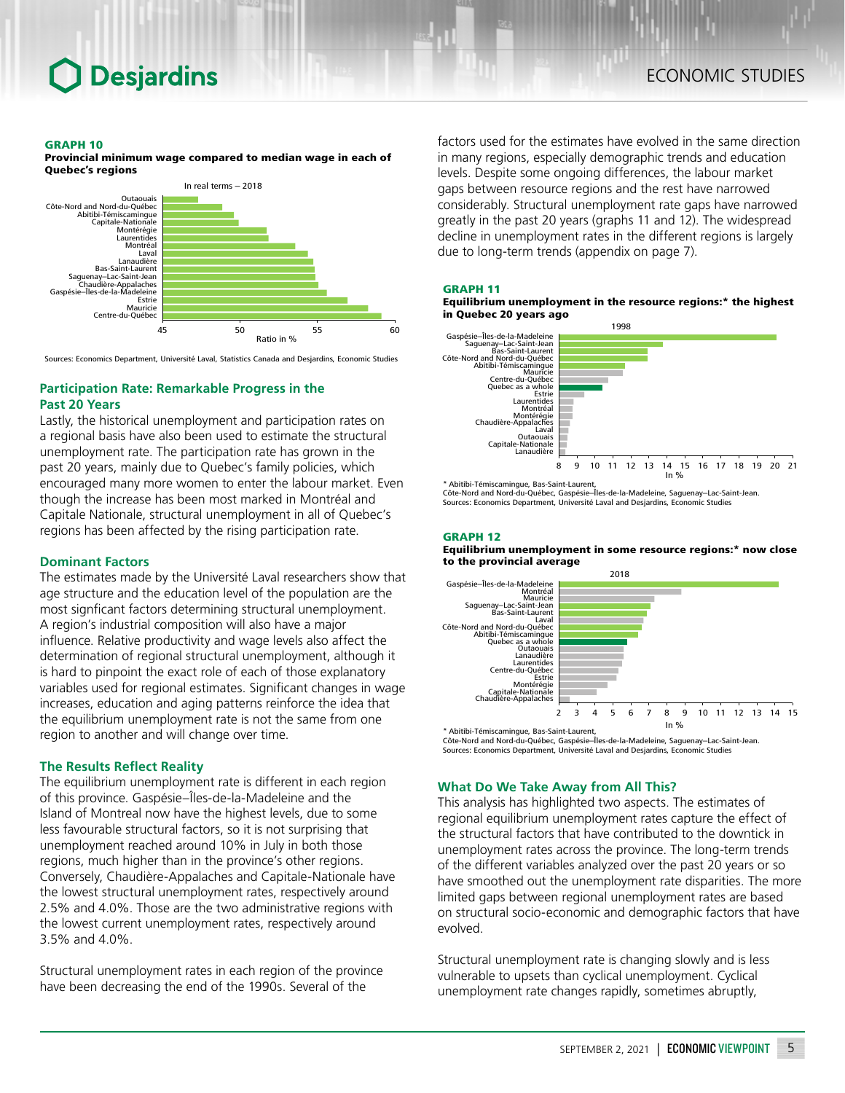#### GRAPH 10

Provincial minimum wage compared to median wage in each of Quebec's regions



Sources: Economics Department, Université Laval, Statistics Canada and Desjardins, Economic Studies

## **Participation Rate: Remarkable Progress in the Past 20 Years**

Lastly, the historical unemployment and participation rates on a regional basis have also been used to estimate the structural unemployment rate. The participation rate has grown in the past 20 years, mainly due to Quebec's family policies, which encouraged many more women to enter the labour market. Even though the increase has been most marked in Montréal and Capitale Nationale, structural unemployment in all of Quebec's regions has been affected by the rising participation rate.

## **Dominant Factors**

The estimates made by the Université Laval researchers show that age structure and the education level of the population are the most signficant factors determining structural unemployment. A region's industrial composition will also have a major influence. Relative productivity and wage levels also affect the determination of regional structural unemployment, although it is hard to pinpoint the exact role of each of those explanatory variables used for regional estimates. Significant changes in wage increases, education and aging patterns reinforce the idea that the equilibrium unemployment rate is not the same from one region to another and will change over time.

## **The Results Reflect Reality**

The equilibrium unemployment rate is different in each region of this province. Gaspésie–Îles-de-la-Madeleine and the Island of Montreal now have the highest levels, due to some less favourable structural factors, so it is not surprising that unemployment reached around 10% in July in both those regions, much higher than in the province's other regions. Conversely, Chaudière-Appalaches and Capitale-Nationale have the lowest structural unemployment rates, respectively around 2.5% and 4.0%. Those are the two administrative regions with the lowest current unemployment rates, respectively around 3.5% and 4.0%.

Structural unemployment rates in each region of the province have been decreasing the end of the 1990s. Several of the

factors used for the estimates have evolved in the same direction in many regions, especially demographic trends and education levels. Despite some ongoing differences, the labour market gaps between resource regions and the rest have narrowed considerably. Structural unemployment rate gaps have narrowed greatly in the past 20 years (graphs 11 and 12). The widespread decline in unemployment rates in the different regions is largely due to long-term trends (appendix on page 7).

#### GRAPH 11





\* Abitibi-Témiscamingue, Bas-Saint-Laurent, Côte-Nord and Nord-du-Québec, Gaspésie–Îles-de-la-Madeleine, Saguenay–Lac-Saint-Jean. Sources: Economics Department, Université Laval and Desjardins, Economic Studies

### GRAPH 12

Equilibrium unemployment in some resource regions:\* now close to the provincial average



\* Abitibi-Témiscamingue, Bas-Saint-Laurent, Côte-Nord and Nord-du-Québec, Gaspésie–Îles-de-la-Madeleine, Saguenay–Lac-Saint-Jean. Sources: Economics Department, Université Laval and Desjardins, Economic Studies

## **What Do We Take Away from All This?**

This analysis has highlighted two aspects. The estimates of regional equilibrium unemployment rates capture the effect of the structural factors that have contributed to the downtick in unemployment rates across the province. The long-term trends of the different variables analyzed over the past 20 years or so have smoothed out the unemployment rate disparities. The more limited gaps between regional unemployment rates are based on structural socio-economic and demographic factors that have evolved.

Structural unemployment rate is changing slowly and is less vulnerable to upsets than cyclical unemployment. Cyclical unemployment rate changes rapidly, sometimes abruptly,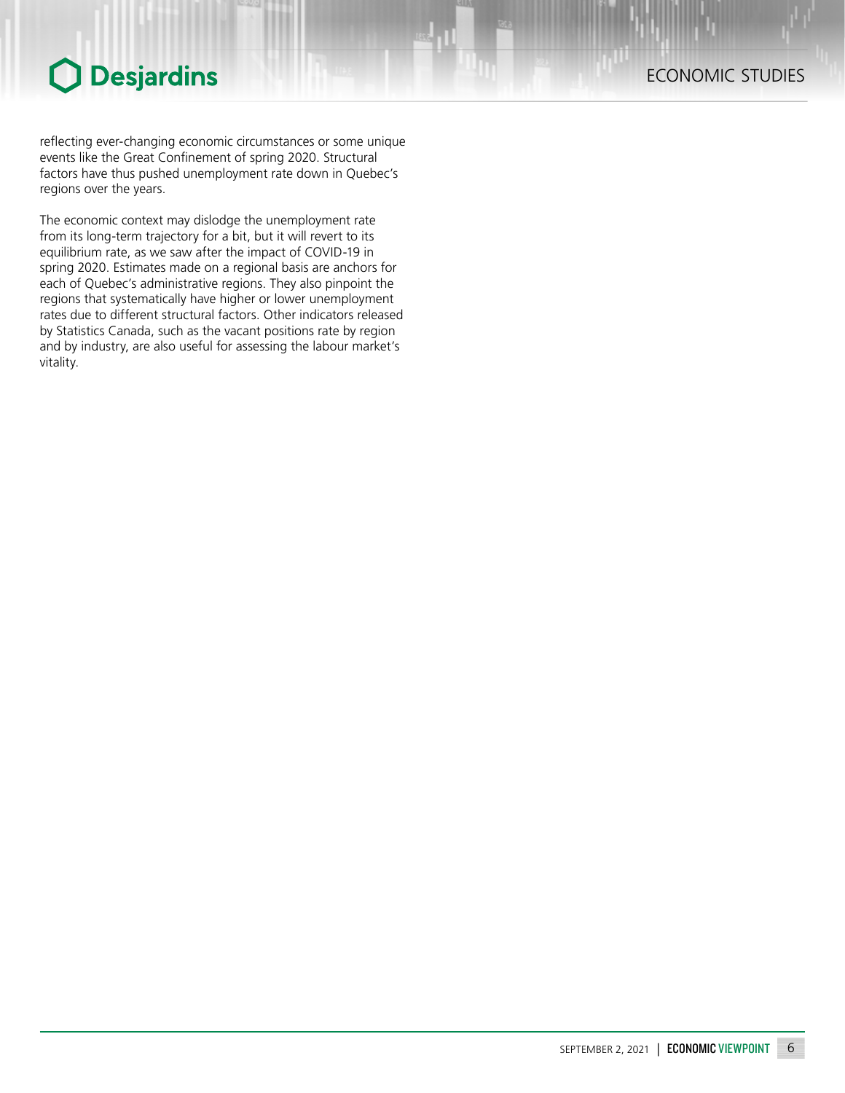reflecting ever-changing economic circumstances or some unique events like the Great Confinement of spring 2020. Structural factors have thus pushed unemployment rate down in Quebec's regions over the years.

The economic context may dislodge the unemployment rate from its long-term trajectory for a bit, but it will revert to its equilibrium rate, as we saw after the impact of COVID-19 in spring 2020. Estimates made on a regional basis are anchors for each of Quebec's administrative regions. They also pinpoint the regions that systematically have higher or lower unemployment rates due to different structural factors. Other indicators released by Statistics Canada, such as the vacant positions rate by region and by industry, are also useful for assessing the labour market's vitality.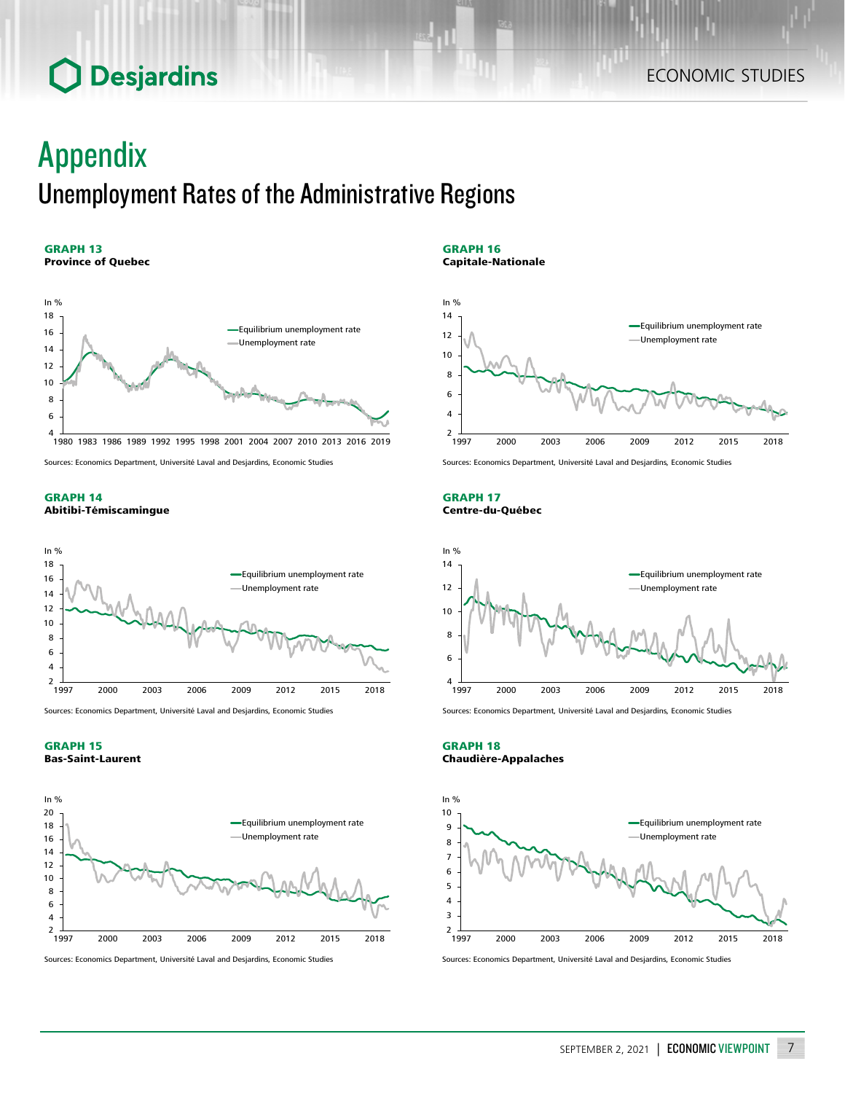## Appendix Unemployment Rates of the Administrative Regions

#### GRAPH 13 Province of Quebec



Sources: Economics Department, Université Laval and Desjardins, Economic Studies

### GRAPH 14 Abitibi-Témiscamingue



Sources: Economics Department, Université Laval and Desjardins, Economic Studies

## GRAPH 15 Bas-Saint-Laurent



Sources: Economics Department, Université Laval and Desjardins, Economic Studies

GRAPH 16 Capitale-Nationale

In %



Sources: Economics Department, Université Laval and Desjardins, Economic Studies

GRAPH 17 Centre-du-Québec



Sources: Economics Department, Université Laval and Desjardins, Economic Studies

GRAPH 18 Chaudière-Appalaches



Sources: Economics Department, Université Laval and Desjardins, Economic Studies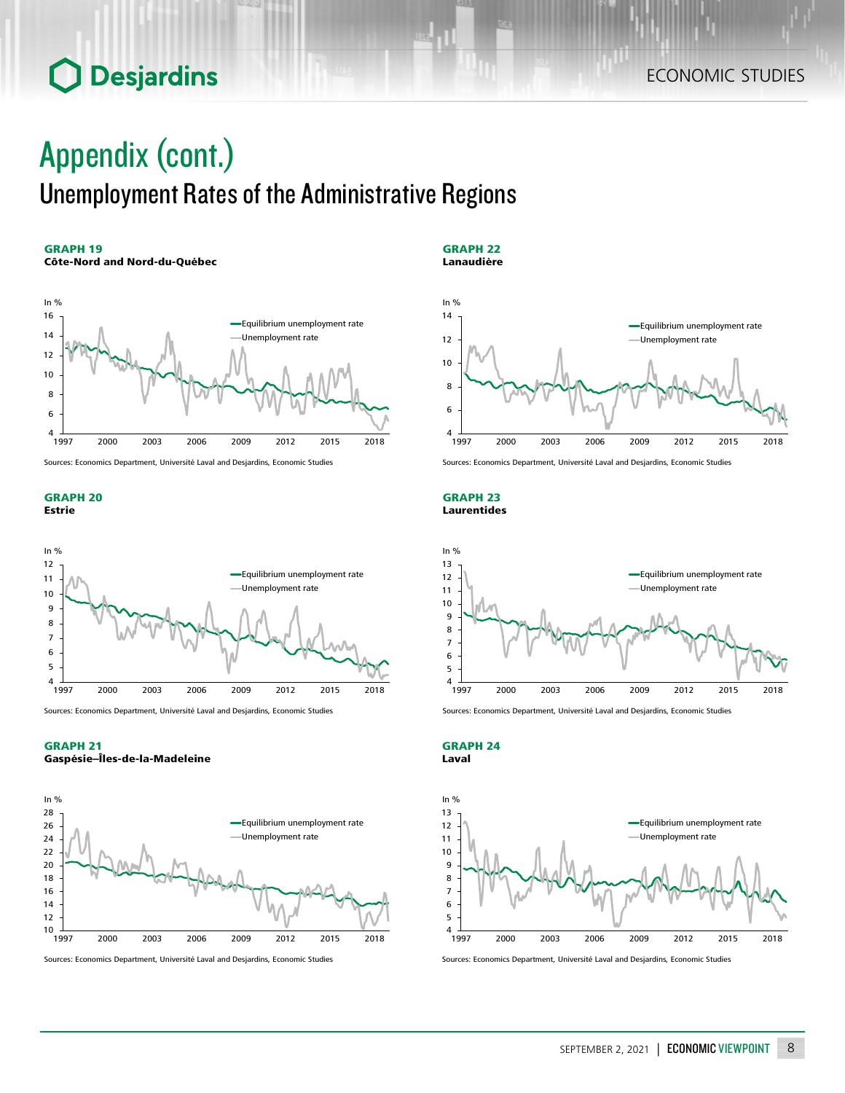## Appendix (cont.) Unemployment Rates of the Administrative Regions

## GRAPH 19

### Côte-Nord and Nord-du-Québec



Sources: Economics Department, Université Laval and Desjardins, Economic Studies

#### GRAPH 20 Estrie



Sources: Economics Department, Université Laval and Desjardins, Economic Studies

## GRAPH 21

Gaspésie–Îles-de-la-Madeleine



Sources: Economics Department, Université Laval and Desjardins, Economic Studies

GRAPH 22 Lanaudière



Sources: Economics Department, Université Laval and Desjardins, Economic Studies

#### GRAPH 23 Laurentides



Sources: Economics Department, Université Laval and Desjardins, Economic Studies

GRAPH 24 Laval



Sources: Economics Department, Université Laval and Desjardins, Economic Studies